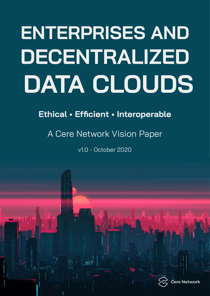# **ENTERPRISES AND DECENTRALIZED DATA CLOUDS**

### **Ethical • Efficient • Interoperable**

### A Cere Network Vision Paper

v1.0 - October 2020

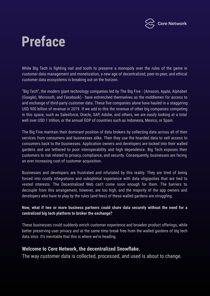

### **Preface**

While Big Tech is fighting nail and tooth to preserve a monopoly over the rules of the game in customer data management and monetization, a new age of decentralized, peer-to-peer, and ethical customer data ecosystems is breaking out on the horizon.

"Big Tech", the modern giant technology companies led by The Big Five - (Amazon, Apple, Alphabet (Google), Microsoft, and Facebook) - have entrenched themselves as the middlemen for access to and exchange of third-party customer data. These five companies alone have hauled in a staggering [USD 900 billion of revenue in 2019](https://www.visualcapitalist.com/how-big-tech-makes-their-billions-2020/). If we add to this the revenue of other big companies competing in this space, such as Salesforce, Oracle, SAP, Adobe, and others, we are easily looking at a total well over USD 1 trillion, or the annual GDP of countries such as [Indonesia, Mexico, or Spain.](https://www.worldometers.info/gdp/gdp-by-country/)

The Big Five maintain their dominant position of data brokers by collecting data across all of their services from consumers and businesses alike. Then they use the hoarded data to sell access to consumers back to the businesses. Application owners and developers are locked into their walled gardens and are tethered to poor interoperability and high dependence. Big Tech exposes their customers to risk related to privacy, compliance, and security. Consequently, businesses are facing an ever increasing cost of customer acquisition.

Businesses and developers are frustrated and infuriated by this reality. They are tired of being forced into costly integrations and suboptimal experience with data oligopolies that are tied to vested interests. The Decentralized Web can't come soon enough for them. The barriers to decouple from this arrangement, however, are too high, and the majority of the app owners and developers who have to play by the rules (and fees) of these walled gardens are struggling.

#### **Now, what if two or more business partners could share data securely without the need for a centralized big tech platform to broker the exchange?**

These businesses could suddenly enrich customer experience and broaden product offerings, while better preserving user privacy *and* at the same time break free from the walled gardens of big tech data silos. It's inevitable that this is where we're heading.

#### **Welcome to Cere Network, the decentralized Snowflake.**

The way customer data is collected, processed, and used is about to change.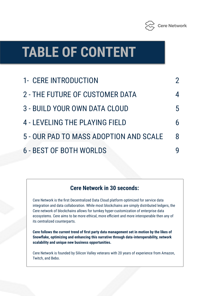

### **TABLE OF CONTENT**

| 1- CERE INTRODUCTION                   |                |
|----------------------------------------|----------------|
| 2 - THE FUTURE OF CUSTOMER DATA        | 4              |
| 3 - BUILD YOUR OWN DATA CLOUD          | $\overline{5}$ |
| 4 - LEVELING THE PLAYING FIELD         |                |
| 5 - OUR PAD TO MASS ADOPTION AND SCALE | 8              |
| <b>6 - BEST OF BOTH WORLDS</b>         |                |

#### **Cere Network in 30 seconds:**

Cere Network is the first Decentralized Data Cloud platform optimized for service data integration and data collaboration. While most blockchains are simply distributed ledgers, the Cere network of blockchains allows for turnkey hyper-customization of enterprise data ecosystems. Cere aims to be more ethical, more efficient and more interoperable then any of its centralized counterparts.

**Cere follows the current trend of first party data management set in motion by the likes of Snowflake, optimizing and enhancing this narrative through data-interoperability, network scalability and unique new business opportunities.** 

Cere Network is founded by Silicon Valley veterans with 20 years of experience from Amazon, Twitch, and Bebo.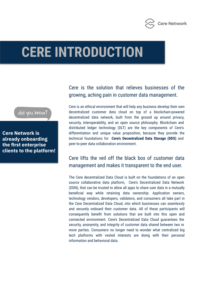

### **CERE INTRODUCTION**

did you know?

**Cere Network is already onboarding the first enterprise clients to the platform!**

#### Cere is the solution that relieves businesses of the growing, aching pain in customer data management.

Cere is an ethical environment that will help any business develop their own decentralized customer data cloud on top of a blockchain-powered decentralized data network, built from the ground up around privacy, security, interoperability, and an open source philosophy. Blockchain and distributed ledger technology (DLT) are the key components of Cere's differentiation and unique value proposition, because they provide the technical foundations for **Cere's Decentralized Data Storage (DDS)** and peer-to-peer data collaboration environment.

#### Cere lifts the veil off the black box of customer data management and makes it transparent to the end user.

The Cere decentralized Data Cloud is built on the foundations of an open source collaborative data platform, Cere's Decentralized Data Network (DDN), that can be trusted to allow all apps to share user data in a mutually beneficial way while retaining data ownership. Application owners, technology vendors, developers, validators, and consumers all take part in the Cere Decentralized Data Cloud, into which businesses can seamlessly and securely onboard their customer data. All of these participants will consequently benefit from solutions that are built into this open and connected environment. Cere's Decentralized Data Cloud guarantees the security, anonymity, and integrity of customer data shared between two or more parties. Consumers no longer need to wonder what centralized big tech platforms with vested interests are doing with their personal information and behavioral data.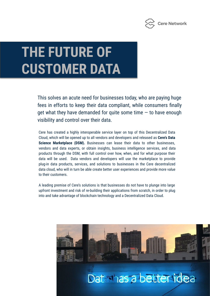

This solves an acute need for businesses today, who are paying huge fees in efforts to keep their data compliant, while consumers finally get what they have demanded for quite some time  $-$  to have enough visibility and control over their data.

Cere has created a highly interoperable service layer on top of this Decentralized Data Cloud, which will be opened up to all vendors and developers and released as **Cere's Data Science Marketplace (DSM).** Businesses can lease their data to other businesses, vendors and data experts, or obtain insights, business intelligence services, and data products through the DSM, with full control over how, when, and for what purpose their data will be used. Data vendors and developers will use the marketplace to provide plug-in data products, services, and solutions to businesses in the Cere decentralized data cloud, who will in turn be able create better user experiences and provide more value to their customers.

A leading premise of Cere's solutions is that businesses do not have to plunge into large upfront investment and risk of re-building their applications from scratch, in order to plug into and take advantage of blockchain technology and a Decentralized Data Cloud.

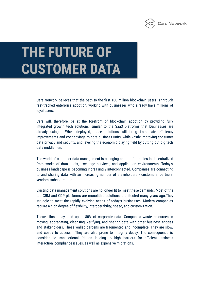

Cere Network believes that the path to the first 100 million blockchain users is through fast-tracked enterprise adoption, working with businesses who already have millions of loyal users.

Cere will, therefore, be at the forefront of blockchain adoption by providing fully integrated growth tech solutions, similar to the SaaS platforms that businesses are already using. When deployed, these solutions will bring immediate efficiency improvements and cost savings to core business units, while vastly improving consumer data privacy and security, and leveling the economic playing field by cutting out big tech data middlemen.

The world of customer data management is changing and the future lies in decentralized frameworks of data pools, exchange services, and application environments. Today's business landscape is becoming increasingly interconnected. Companies are connecting to and sharing data with an increasing number of stakeholders - customers, partners, vendors, subcontractors.

Existing data management solutions are no longer fit to meet these demands. Most of the top CRM and CDP platforms are monolithic solutions, architected many years ago.They struggle to meet the rapidly evolving needs of today's businesses. Modern companies require a high degree of flexibility, interoperability, speed, and customization.

These silos today hold up to 80% of corporate data. Companies waste resources in moving, aggregating, cleansing, verifying, and sharing data with other business entities and stakeholders. These walled gardens are fragmented and incomplete. They are slow, and costly to access. They are also prone to integrity decay. The consequence is considerable transactional friction leading to high barriers for efficient business interaction, compliance issues, as well as expensive migrations.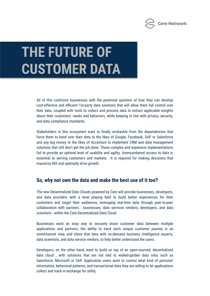

All of this confronts businesses with the perennial question of how they can develop cost-effective and efficient 1st-party data solutions that will allow them full control over their data, coupled with tools to collect and process data to extract applicable insights about their customers' needs and behaviors, while keeping in line with privacy, security, and data compliance standards.

Stakeholders in this ecosystem want to finally unshackle from the dependencies that force them to hand over their data to the likes of Google, Facebook, SAP or Salesforce and pay big money to the likes of Accenture to implement CRM and data management solutions that still don't get the job done. These complex and expensive implementations fail to provide an optimal level of usability and agility. Unencumbered access to data is essential to serving customers and markets. It is required for making decisions that maximize ROI and optimally drive growth.

#### **So, why not own the data and make the best use of it too?**

The new Decentralized Data Clouds powered by Cere will provide businesses, developers, and data providers with a level playing field to build better experiences for their customers and target their audiences, leveraging real-time data through peer-to-peer collaboration with partners - businesses, data services vendors, developers, and data scientists - within the Cere Decentralized Data Cloud.

Businesses want an easy way to securely share customer data between multiple applications and partners, the ability to track each unique customer journey in an omnichannel view, and share that data with on-demand business intelligence experts, data scientists, and data service vendors, to help better understand the users.

Developers, on the other hand, want to build on top of an open-sourced, decentralized data cloud , with solutions that are not tied to walled-garden data silos such as Salesforce, Microsoft or SAP. Application users want to control what kind of personal information, behavioral patterns, and transactional data they are willing to let applications collect and track in exchange for utility.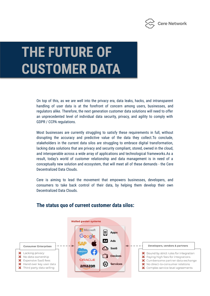

On top of this, as we are well into the privacy era, data leaks, hacks, and intransparent handling of user data is at the forefront of concern among users, businesses, and regulators alike. Therefore, the next generation customer data solutions will need to offer an unprecedented level of individual data security, privacy, and agility to comply with GDPR / CCPA regulations.

Most businesses are currently struggling to satisfy these requirements in full, without disrupting the accuracy and predictive value of the data they collect.To conclude, stakeholders in the current data silos are struggling to embrace digital transformation, lacking data solutions that are privacy and security compliant, stored, owned in the cloud, and interoperable across a wide array of applications and technological frameworks.As a result, today's world of customer relationship and data management is in need of a conceptually new solution and ecosystem, that will meet all of these demands - the Cere Decentralized Data Clouds.

Cere is aiming to lead the movement that empowers businesses, developers, and consumers to take back control of their data, by helping them develop their own Decentralized Data Clouds.



#### **The status quo of current customer data silos:**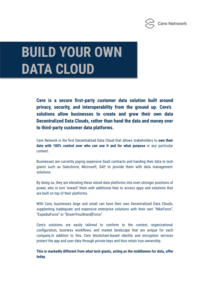

### **BUILD YOUR OWN DATA CLOUD**

**Cere is a secure first-party customer data solution built around privacy, security, and interoperability from the ground up. Cere's solutions allow businesses to create and grow their own data Decentralized Data Clouds, rather than hand the data and money over to third-party customer data platforms.** 

Cere Network is the first Decentralized Data Cloud that allows stakeholders to **own their data with 100% control over who can use it and for what purpose** in any particular context.

Businesses are currently paying expensive SaaS contracts and handing their data to tech giants such as Salesforce, Microsoft, SAP, to provide them with data management solutions.

By doing so, they are elevating these siloed data platforms into even stronger positions of power, who in turn 'reward' them with additional fees to access apps and solutions that are built on top of their platforms.

With Cere, businesses large and small can have their own Decentralized Data Clouds, supplanting inadequate and expensive enterprise solutions with their own "NikeForce", "ExpediaForce" or "[InsertYourBrand]Force".

Cere's solutions are easily tailored to conform to the context, organizational configuration, business workflows, and market landscape that are unique for each company.In addition to this, Cere blockchain-based identity and encryption services protect the app and user data through private keys and thus retain true ownership.

**This is markedly different from what tech giants, acting as the middlemen for data, offer today.**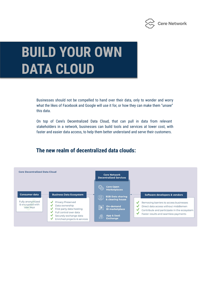

### **BUILD YOUR OWN DATA CLOUD**

Businesses should not be compelled to hand over their data, only to wonder and worry what the likes of Facebook and Google will use it for, or how they can make them "unsee" this data.

On top of Cere's Decentralized Data Cloud, that can pull in data from relevant stakeholders in a network, businesses can build tools and services at lower cost, with faster and easier data access, to help them better understand and serve their customers.

#### **The new realm of decentralized data clouds:**

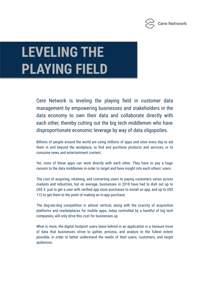

### **LEVELING THE PLAYING FIELD**

Cere Network is leveling the playing field in customer data management by empowering businesses and stakeholders in the data economy to own their data and collaborate directly with each other, thereby cutting out the big tech middlemen who have disproportionate economic leverage by way of data oligopolies.

Billions of people around the world are using millions of apps and sites every day to aid them in and beyond the workplace, to find and purchase products and services, or to consume news and entertainment content.

Yet, none of these apps can work directly with each other. They have to pay a huge ransom to the data middlemen in order to target and have insight into each others' users.

The cost of acquiring, retaining, and converting users to paying customers varies across markets and industries, but on average, businesses in 2018 have had to dish out up to US\$ 4 just to get a user with verified app store purchases to install an app, and up to US\$ 112 to get them to the point of making an in-app purchase.

The dog-eat-dog competition in almost vertical, along with the scarcity of acquisition platforms and marketplaces for mobile apps, today controlled by a handful of big tech companies, will only drive this cost for businesses up.

What is more, the digital footprint users leave behind in an application is a treasure trove of data that businesses strive to gather, process, and analyze to the fullest extent possible, in order to better understand the needs of their users, customers, and target audiences.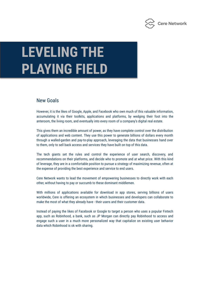

## **LEVELING THE PLAYING FIELD**

#### New Goals

However, it is the likes of Google, Apple, and Facebook who own much of this valuable information, accumulating it via their toolkits, applications and platforms, by wedging their foot into the anteroom, the living room, and eventually into every room of a company's digital real estate.

This gives them an incredible amount of power, as they have complete control over the distribution of applications and web content. They use this power to generate billions of dollars every month through a walled-garden and pay-to-play approach, leveraging the data that businesses hand over to them, only to sell back access and services they have built on top of this data.

The tech giants set the rules and control the experience of user search, discovery, and recommendations on their platforms, and decide who to promote and at what price. With this kind of leverage, they are in a comfortable position to pursue a strategy of maximizing revenue, often at the expense of providing the best experience and service to end users.

Cere Network wants to lead the movement of empowering businesses to directly work with each other, without having to pay or succumb to these dominant middlemen.

With millions of applications available for download in app stores, serving billions of users worldwide, Cere is offering an ecosystem in which businesses and developers can collaborate to make the most of what they already have - their users and their customer data.

Instead of paying the likes of Facebook or Google to target a person who uses a popular Fintech app, such as Robinhood, a bank, such as JP Morgan can directly pay Robinhood to access and engage such a user in a much more personalized way that capitalize on existing user behavior data which Robinhood is ok with sharing.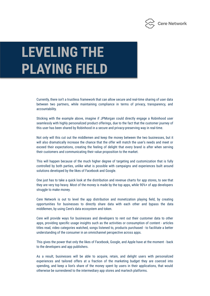

### **LEVELING THE PLAYING FIELD**

Currently, there isn't a trustless framework that can allow secure and real-time sharing of user data between two partners, while maintaining compliance in terms of privacy, transparency, and accountability.

Sticking with the example above, imagine if JPMorgan could directly engage a Robinhood user seamlessly with highly personalized product offerings, due to the fact that the customer journey of this user has been shared by Robinhood in a secure and privacy-preserving way in real-time.

Not only will this cut out the middlemen and keep the money between the two businesses, but it will also dramatically increase the chance that the offer will match the user's needs and meet or exceed their expectations, creating the feeling of delight that every brand is after when serving their customers and communicating their value proposition to the market.

This will happen because of the much higher degree of targeting and customization that is fully controlled by both parties, unlike what is possible with campaigns and experiences built around solutions developed by the likes of Facebook and Google.

One just has to take a quick look at the distribution and revenue charts for app stores, to see that they are very top heavy. Most of the money is made by the top apps, while 90%+ of app developers struggle to make money.

Cere Network is out to level the app distribution and monetization playing field, by creating opportunities for businesses to directly share data with each other and bypass the data middlemen, by using Cere's data ecosystem and token.

Cere will provide ways for businesses and developers to rent out their customer data to other apps, providing specific usage insights such as the activities or consumption of content - articles titles read, video categories watched, songs listened to, products purchased - to facilitate a better understanding of the consumer in an omnichannel perspective across apps.

This gives the power that only the likes of Facebook, Google, and Apple have at the moment - back to the developers and app publishers.

As a result, businesses will be able to acquire, retain, and delight users with personalized experiences and tailored offers at a fraction of the marketing budget they are coerced into spending, and keep a lion's share of the money spent by users in their applications, that would otherwise be surrendered to the intermediary app stores and martech platforms.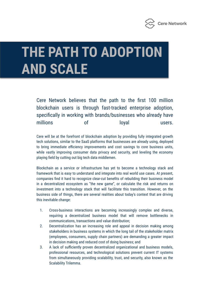

# **THE PATH TO ADOPTION AND SCALE**

Cere Network believes that the path to the first 100 million blockchain users is through fast-tracked enterprise adoption, specifically in working with brands/businesses who already have millions of loyal users.

Cere will be at the forefront of blockchain adoption by providing fully integrated growth tech solutions, similar to the SaaS platforms that businesses are already using, deployed to bring immediate efficiency improvements and cost savings to core business units, while vastly improving consumer data privacy and security, and leveling the economy playing field by cutting out big tech data middlemen.

Blockchain as a service or infrastructure has yet to become a technology stack and framework that is easy to understand and integrate into real world use cases. At present, companies find it hard to recognize clear-cut benefits of rebuilding their business model in a decentralized ecosystem as "the new game", or calculate the risk and returns on investment into a technology stack that will facilitate this transition. However, on the business side of things, there are several realities about today's context that are driving this inevitable change:

- 1. Cross-business interactions are becoming increasingly complex and diverse, requiring a decentralized business model that will remove bottlenecks in communications, transactions and value distribution;
- 2. Decentralization has an increasing role and appeal in decision making among stakeholders in business systems in which the long tail of the stakeholder matrix (employees, consumers, supply chain partners) are demanding a greater impact in decision making and reduced cost of doing business; and
- 3. A lack of sufficiently proven decentralized organizational and business models, professional resources, and technological solutions prevent current IT systems from simultaneously providing scalability, trust, and security, also known as the Scalability Trilemma.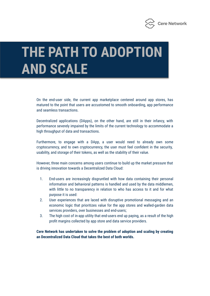

# **THE PATH TO ADOPTION AND SCALE**

On the end-user side, the current app marketplace centered around app stores, has matured to the point that users are accustomed to smooth onboarding, app performance and seamless transactions.

Decentralized applications (DApps), on the other hand, are still in their infancy, with performance severely impaired by the limits of the current technology to accommodate a high throughput of data and transactions.

Furthermore, to engage with a DApp, a user would need to already own some cryptocurrency, and to own cryptocurrency, the user must feel confident in the security, usability, and storage of their tokens, as well as the stability of their value.

However, three main concerns among users continue to build up the market pressure that is driving innovation towards a Decentralized Data Cloud:

- 1. End-users are increasingly disgruntled with how data containing their personal information and behavioral patterns is handled and used by the data middlemen, with little to no transparency in relation to who has access to it and for what purpose it is used:
- 2. User experiences that are laced with disruptive promotional messaging and an economic logic that prioritizes value for the app stores and walled-garden data services providers, over businesses and end-users;
- 3. The high cost of in-app utility that end-users end up paying, as a result of the high profit margins collected by app store and data service providers.

**Cere Network has undertaken to solve the problem of adoption and scaling by creating an Decentralized Data Cloud that takes the best of both worlds.**